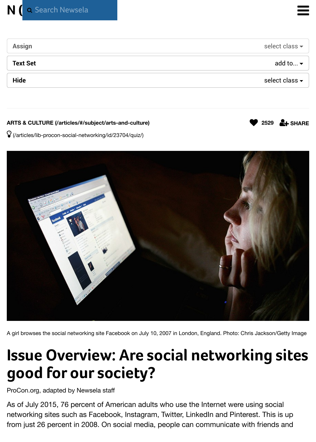#### ARTS & CULTURE (/articles/#/subject/arts-and-culture)

 $\hat{V}$  (/articles/lib-procon-social-networking/id/23704/quiz/)



A girl browses the social networking site Facebook on July 10, 2007 in London, England. Photo: Chris Jackson/

# **Issue Overview: Are social networking:** good for our society?

ProCon.org, adapted by Newsela staff

As of July 2015, 76 percent of American adults who use the Internet were using soc networking sites such as Facebook, Instagram, Twitter, LinkedIn and Pinterest. This from just 26 percent in 2008. On social media, people can communicate with friends

**<sup>2529</sup>** #**SHARE**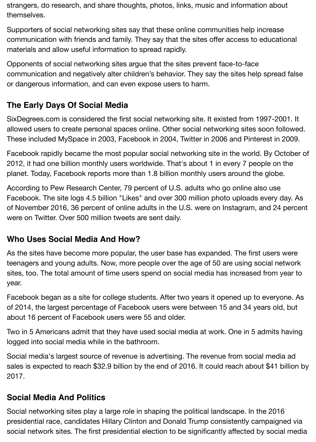strangers, do research, and share thoughts, photos, links, music and information about themselves.

Supporters of social networking sites say that these online communities help increase communication with friends and family. They say that the sites offer access to educational materials and allow useful information to spread rapidly.

Opponents of social networking sites argue that the sites prevent face-to-face communication and negatively alter children's behavior. They say the sites help spread false or dangerous information, and can even expose users to harm.

# **The Early Days Of Social Media**

SixDegrees.com is considered the first social networking site. It existed from 1997-2001. It allowed users to create personal spaces online. Other social networking sites soon followed. These included MySpace in 2003, Facebook in 2004, Twitter in 2006 and Pinterest in 2009.

Facebook rapidly became the most popular social networking site in the world. By October of 2012, it had one billion monthly users worldwide. That's about 1 in every 7 people on the planet. Today, Facebook reports more than 1.8 billion monthly users around the globe.

According to Pew Research Center, 79 percent of U.S. adults who go online also use Facebook. The site logs 4.5 billion "Likes" and over 300 million photo uploads every day. As of November 2016, 36 percent of online adults in the U.S. were on Instagram, and 24 percent were on Twitter. Over 500 million tweets are sent daily.

# **Who Uses Social Media And How?**

As the sites have become more popular, the user base has expanded. The first users were teenagers and young adults. Now, more people over the age of 50 are using social network sites, too. The total amount of time users spend on social media has increased from year to year.

Facebook began as a site for college students. After two years it opened up to everyone. As of 2014, the largest percentage of Facebook users were between 15 and 34 years old, but about 16 percent of Facebook users were 55 and older.

Two in 5 Americans admit that they have used social media at work. One in 5 admits having logged into social media while in the bathroom.

Social media's largest source of revenue is advertising. The revenue from social media ad sales is expected to reach \$32.9 billion by the end of 2016. It could reach about \$41 billion by 2017.

# **Social Media And Politics**

Social networking sites play a large role in shaping the political landscape. In the 2016 presidential race, candidates Hillary Clinton and Donald Trump consistently campaigned via social network sites. The first presidential election to be significantly affected by social media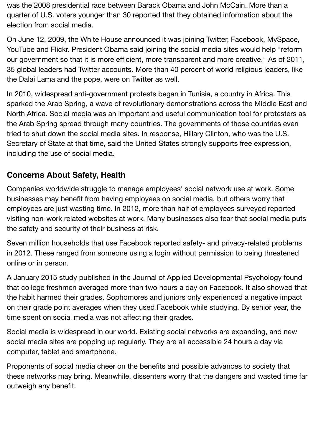was the 2008 presidential race between Barack Obama and John McCain. More than a quarter of U.S. voters younger than 30 reported that they obtained information about the election from social media.

On June 12, 2009, the White House announced it was joining Twitter, Facebook, MySpace, YouTube and Flickr. President Obama said joining the social media sites would help "reform our government so that it is more efficient, more transparent and more creative." As of 2011, 35 global leaders had Twitter accounts. More than 40 percent of world religious leaders, like the Dalai Lama and the pope, were on Twitter as well.

In 2010, widespread anti-government protests began in Tunisia, a country in Africa. This sparked the Arab Spring, a wave of revolutionary demonstrations across the Middle East and North Africa. Social media was an important and useful communication tool for protesters as the Arab Spring spread through many countries. The governments of those countries even tried to shut down the social media sites. In response, Hillary Clinton, who was the U.S. Secretary of State at that time, said the United States strongly supports free expression, including the use of social media.

# **Concerns About Safety, Health**

Companies worldwide struggle to manage employees' social network use at work. Some businesses may benefit from having employees on social media, but others worry that employees are just wasting time. In 2012, more than half of employees surveyed reported visiting non-work related websites at work. Many businesses also fear that social media puts the safety and security of their business at risk.

Seven million households that use Facebook reported safety- and privacy-related problems in 2012. These ranged from someone using a login without permission to being threatened online or in person.

A January 2015 study published in the Journal of Applied Developmental Psychology found that college freshmen averaged more than two hours a day on Facebook. It also showed that the habit harmed their grades. Sophomores and juniors only experienced a negative impact on their grade point averages when they used Facebook while studying. By senior year, the time spent on social media was not affecting their grades.

Social media is widespread in our world. Existing social networks are expanding, and new social media sites are popping up regularly. They are all accessible 24 hours a day via computer, tablet and smartphone.

Proponents of social media cheer on the benefits and possible advances to society that these networks may bring. Meanwhile, dissenters worry that the dangers and wasted time far outweigh any benefit.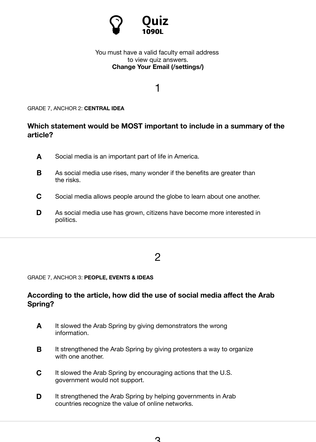#### GRADE 7, ANCHOR 2: **CENTRAL IDEA**

### **Which statement would be MOST important to include in a summary of the article?**

1

- **A** Social media is an i[mportant part of life in America.](https://newsela.com/settings/)
- **B** As social media use rises, many wonder if the benefits are greater than the risks.
- **C** Social media allows people around the globe to learn about one another.
- **D** As social media use has grown, citizens have become more interested in politics.

## 2

#### GRADE 7, ANCHOR 3: **PEOPLE, EVENTS & IDEAS**

#### **According to the article, how did the use of social media affect the Arab Spring?**

- **A** It slowed the Arab Spring by giving demonstrators the wrong information.
- **B** It strengthened the Arab Spring by giving protesters a way to organize with one another.
- **C** It slowed the Arab Spring by encouraging actions that the U.S. government would not support.
- **D** It strengthened the Arab Spring by helping governments in Arab countries recognize the value of online networks.